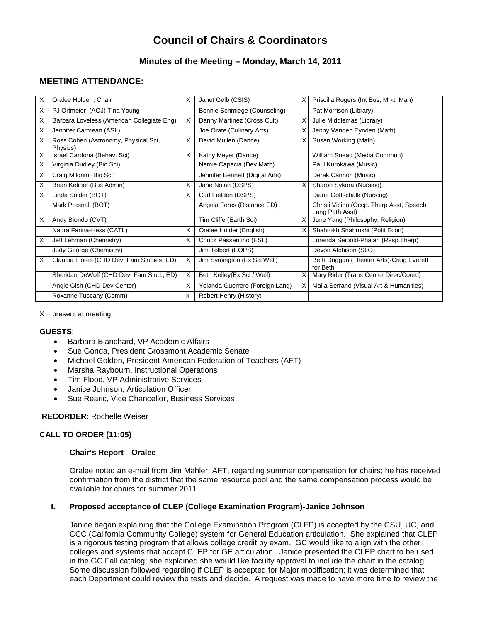# **Council of Chairs & Coordinators**

# **Minutes of the Meeting – Monday, March 14, 2011**

# **MEETING ATTENDANCE:**

| X  | Oralee Holder, Chair                             | X            | Janet Gelb (CSIS)               | X | Priscilla Rogers (Int Bus, Mrkt, Man)                       |
|----|--------------------------------------------------|--------------|---------------------------------|---|-------------------------------------------------------------|
| X  | PJ Ortmeier (AOJ) Tina Young                     |              | Bonnie Schmiege (Counseling)    |   | Pat Morrison (Library)                                      |
| х  | Barbara Loveless (American Collegiate Eng)       | X            | Danny Martinez (Cross Cult)     | X | Julie Middlemas (Library)                                   |
| X  | Jennifer Carmean (ASL)                           |              | Joe Orate (Culinary Arts)       | X | Jenny Vanden Eynden (Math)                                  |
| X  | Ross Cohen (Astronomy, Physical Sci,<br>Physics) | X            | David Mullen (Dance)            | X | Susan Working (Math)                                        |
| х  | Israel Cardona (Behav. Sci)                      | X            | Kathy Meyer (Dance)             |   | William Snead (Media Commun)                                |
| X. | Virginia Dudley (Bio Sci)                        |              | Nemie Capacia (Dev Math)        |   | Paul Kurokawa (Music)                                       |
| X  | Craig Milgrim (Bio Sci)                          |              | Jennifer Bennett (Digital Arts) |   | Derek Cannon (Music)                                        |
| X  | Brian Keliher (Bus Admin)                        | X            | Jane Nolan (DSPS)               | X | Sharon Sykora (Nursing)                                     |
| X  | Linda Snider (BOT)                               | X            | Carl Fielden (DSPS)             |   | Diane Gottschalk (Nursing)                                  |
|    | Mark Presnall (BOT)                              |              | Angela Feres (Distance ED)      |   | Christi Vicino (Occp. Therp Asst, Speech<br>Lang Path Asst) |
| X  | Andy Biondo (CVT)                                |              | Tim Cliffe (Earth Sci)          | X | June Yang (Philosophy, Religion)                            |
|    | Nadra Farina-Hess (CATL)                         | X            | Oralee Holder (English)         | X | Shahrokh Shahrokhi (Polit Econ)                             |
| х  | Jeff Lehman (Chemistry)                          | X            | Chuck Passentino (ESL)          |   | Lorenda Seibold-Phalan (Resp Therp)                         |
|    | Judy George (Chemistry)                          |              | Jim Tolbert (EOPS)              |   | Devon Atchison (SLO)                                        |
| X  | Claudia Flores (CHD Dev, Fam Studies, ED)        | X            | Jim Symington (Ex Sci Well)     |   | Beth Duggan (Theater Arts)-Craig Everett<br>for Beth        |
|    | Sheridan DeWolf (CHD Dev, Fam Stud., ED)         | X            | Beth Kelley(Ex Sci / Well)      | X | Mary Rider (Trans Center Direc/Coord)                       |
|    | Angie Gish (CHD Dev Center)                      | X            | Yolanda Guerrero (Foreign Lang) | X | Malia Serrano (Visual Art & Humanities)                     |
|    | Roxanne Tuscany (Comm)                           | $\mathsf{x}$ | Robert Henry (History)          |   |                                                             |

 $X =$  present at meeting

#### **GUESTS**:

- Barbara Blanchard, VP Academic Affairs
- Sue Gonda, President Grossmont Academic Senate
- Michael Golden, President American Federation of Teachers (AFT)
- Marsha Raybourn, Instructional Operations
- Tim Flood, VP Administrative Services
- Janice Johnson, Articulation Officer
- Sue Rearic, Vice Chancellor, Business Services

#### **RECORDER**: Rochelle Weiser

# **CALL TO ORDER (11:05)**

#### **Chair's Report—Oralee**

Oralee noted an e-mail from Jim Mahler, AFT, regarding summer compensation for chairs; he has received confirmation from the district that the same resource pool and the same compensation process would be available for chairs for summer 2011.

#### **I. Proposed acceptance of CLEP (College Examination Program)-Janice Johnson**

Janice began explaining that the College Examination Program (CLEP) is accepted by the CSU, UC, and CCC (California Community College) system for General Education articulation. She explained that CLEP is a rigorous testing program that allows college credit by exam. GC would like to align with the other colleges and systems that accept CLEP for GE articulation. Janice presented the CLEP chart to be used in the GC Fall catalog; she explained she would like faculty approval to include the chart in the catalog. Some discussion followed regarding if CLEP is accepted for Major modification; it was determined that each Department could review the tests and decide. A request was made to have more time to review the